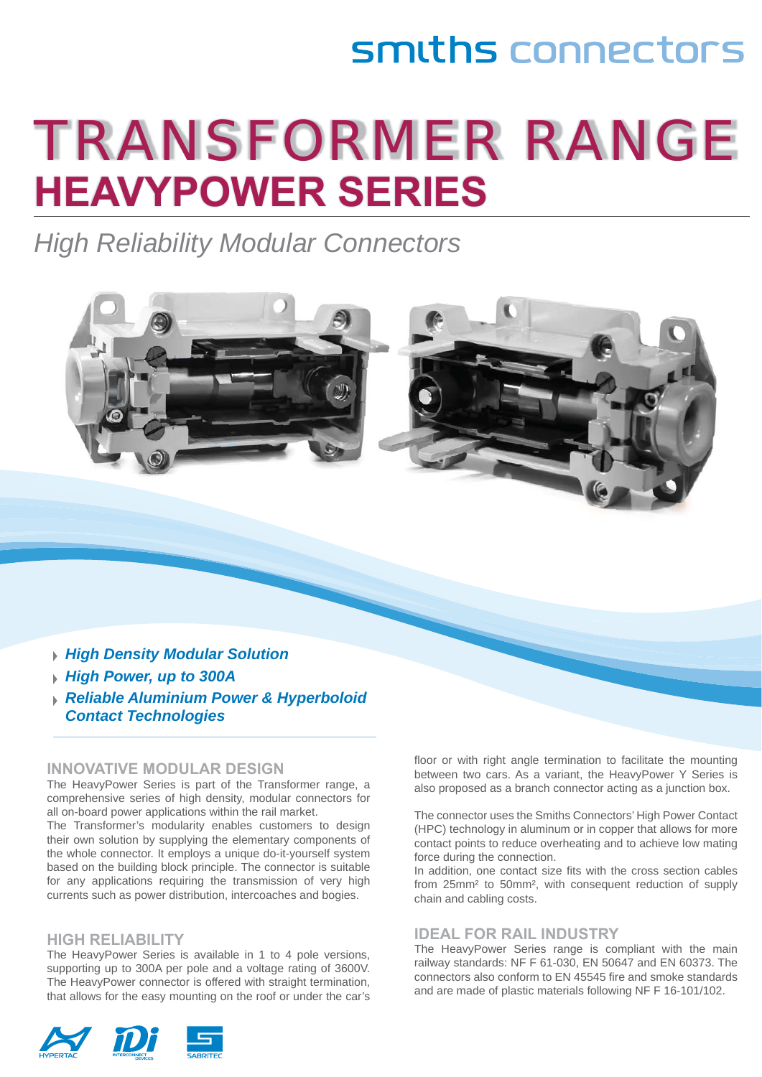# smiths connectors

# TRANSFORMER RANGE **HEAVYPOWER SERIES**

*High Reliability Modular Connectors* 



*Reliable Aluminium Power & Hyperboloid Contact Technologies* 

#### **INNOVATIVE MODULAR DESIGN**

The HeavyPower Series is part of the Transformer range, a comprehensive series of high density, modular connectors for all on-board power applications within the rail market.

The Transformer's modularity enables customers to design their own solution by supplying the elementary components of the whole connector. It employs a unique do-it-yourself system based on the building block principle. The connector is suitable for any applications requiring the transmission of very high currents such as power distribution, intercoaches and bogies.

#### **HIGH RELIABILITY**

The HeavyPower Series is available in 1 to 4 pole versions, supporting up to 300A per pole and a voltage rating of 3600V. The HeavyPower connector is offered with straight termination, that allows for the easy mounting on the roof or under the car's



floor or with right angle termination to facilitate the mounting between two cars. As a variant, the HeavyPower Y Series is also proposed as a branch connector acting as a junction box.

The connector uses the Smiths Connectors' High Power Contact (HPC) technology in aluminum or in copper that allows for more contact points to reduce overheating and to achieve low mating force during the connection.

In addition, one contact size fits with the cross section cables from 25mm² to 50mm², with consequent reduction of supply chain and cabling costs.

#### **IDEAL FOR RAIL INDUSTRY**

The HeavyPower Series range is compliant with the main railway standards: NF F 61-030, EN 50647 and EN 60373. The connectors also conform to EN 45545 fire and smoke standards and are made of plastic materials following NF F 16-101/102.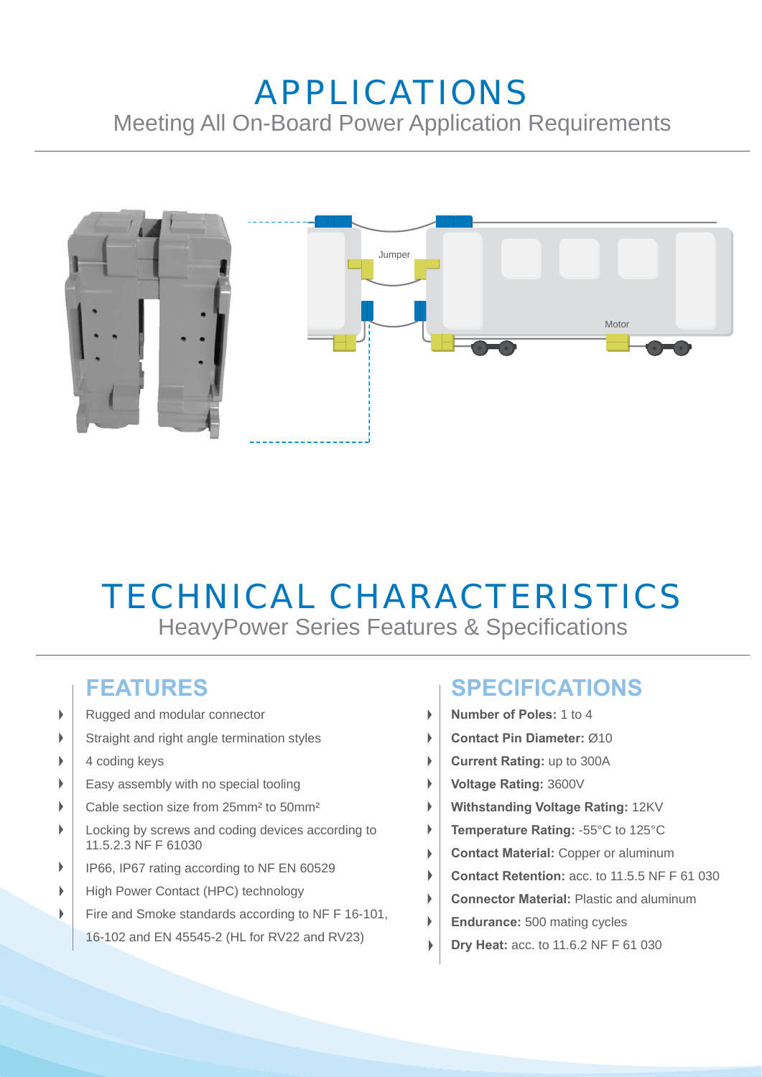## APPLICATIONS Meeting All On-Board Power Application Requirements



## TECHNICAL CHARACTERISTICS HeavyPower Series Features & Specifications

 $\mathbf{b}$ 

#### **FEATURES**

- Rugged and modular connector b
- Straight and right angle termination styles b
- 4 coding keys Þ
- Easy assembly with no special tooling ь
- Cable section size from 25mm² to 50mm²
- ь Locking by screws and coding devices according to 11.5.2.3 NF F 61030
- b IP66, IP67 rating according to NF EN 60529
- High Power Contact (HPC) technology
- Fire and Smoke standards according to NF F 16-101, b
	- 16-102 and EN 45545-2 (HL for RV22 and RV23)

#### **SPECIFICATIONS**

- **Number of Poles:** 1 to 4
- **Contact Pin Diameter:** Ø10  $\overline{\phantom{a}}$
- **Current Rating:** up to 300A  $\begin{array}{c} \hline \end{array}$
- **Voltage Rating:** 3600V
- **Withstanding Voltage Rating:** 12KV
- **Temperature Rating:** -55°C to 125°C
- **Contact Material:** Copper or aluminum
- **Contact Retention:** acc. to 11.5.5 NF F 61 030
- **Connector Material:** Plastic and aluminum
- **Endurance:** 500 mating cycles
- **Dry Heat:** acc. to 11.6.2 NF F 61 030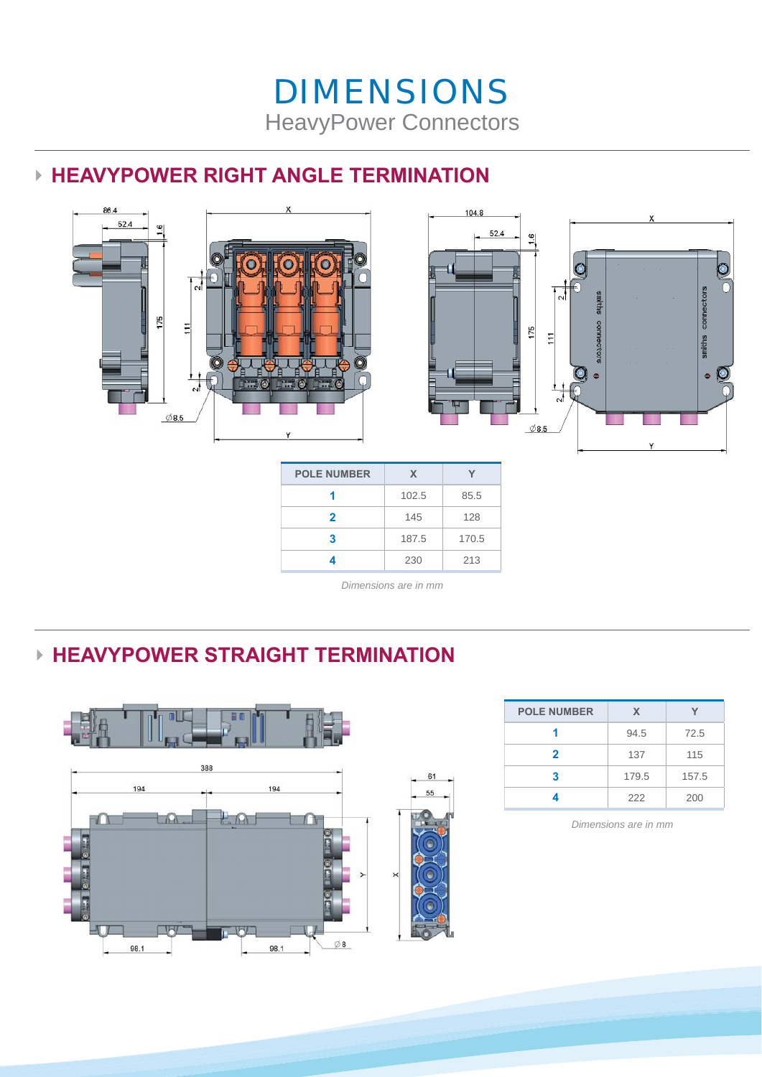## DIMENSIONS HeavyPower Connectors

#### **► HEAVYPOWER RIGHT ANGLE TERMINATION**





| <b>POLE NUMBER</b> | x     |       |
|--------------------|-------|-------|
|                    | 102.5 | 85.5  |
| 2                  | 145   | 128   |
| 3                  | 187.5 | 170.5 |
|                    | 230   | 213   |

*Dimensions are in mm*

#### **► HEAVYPOWER STRAIGHT TERMINATION**



| <b>POLE NUMBER</b> | X     |       |
|--------------------|-------|-------|
|                    | 94.5  | 72.5  |
| $\overline{2}$     | 137   | 115   |
| з                  | 179.5 | 157.5 |
|                    | 222   | 200   |

*Dimensions are in mm*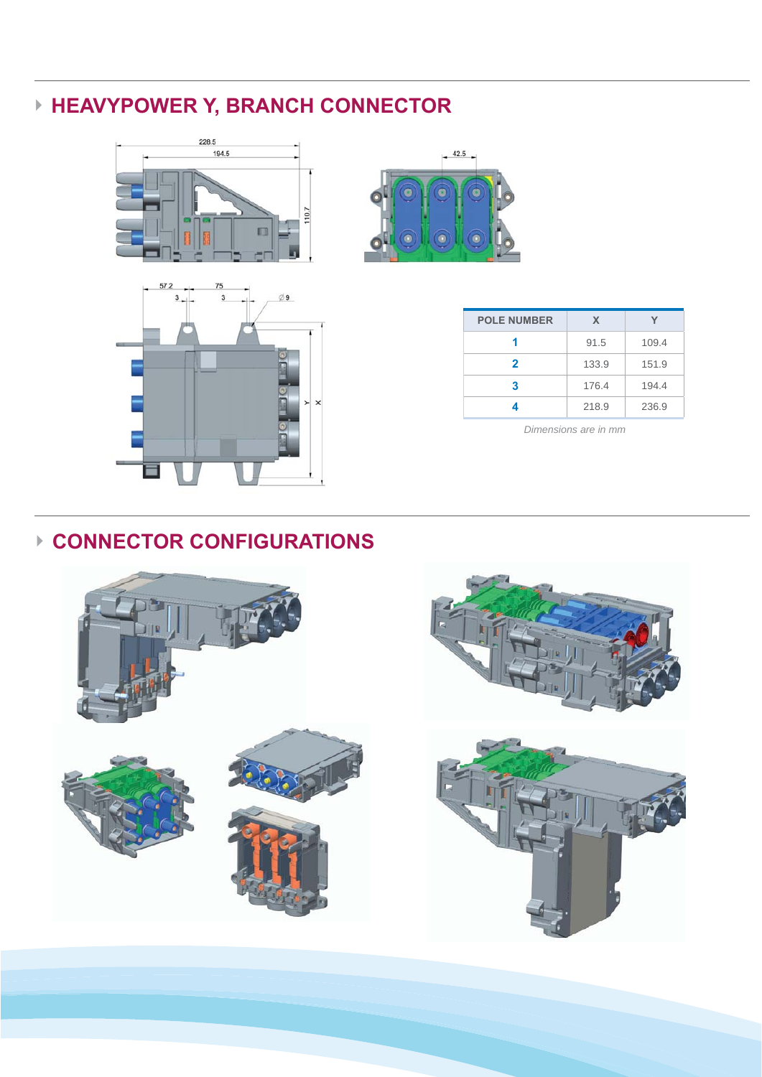### **► HEAVYPOWER Y, BRANCH CONNECTOR**







| <b>POLE NUMBER</b> | X     |       |
|--------------------|-------|-------|
|                    | 91.5  | 109.4 |
| 2                  | 133.9 | 151.9 |
| 3                  | 176.4 | 194.4 |
|                    | 218.9 | 236.9 |

*Dimensions are in mm*

#### **► CONNECTOR CONFIGURATIONS**

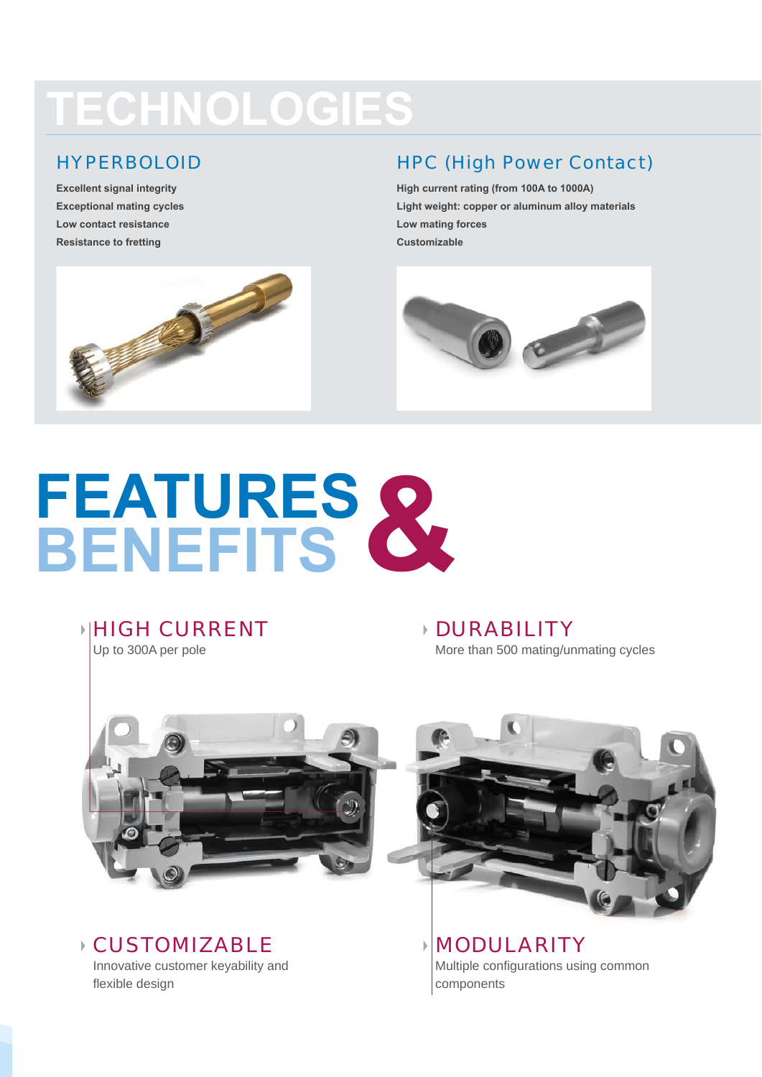# **TECHNOLOGIES**

#### HYPERBOLOID

**Excellent signal integrity Exceptional mating cycles Low contact resistance Resistance to fretting**



#### HPC (High Power Contact)

**High current rating (from 100A to 1000A) Light weight: copper or aluminum alloy materials Low mating forces Customizable** 



# **FEATURES BENEFITS &**

**HIGH CURRENT** 

Up to 300A per pole

DURABILITY More than 500 mating/unmating cycles



CUSTOMIZABLE Innovative customer keyability and flexible design



MODULARITY Multiple configurations using common components